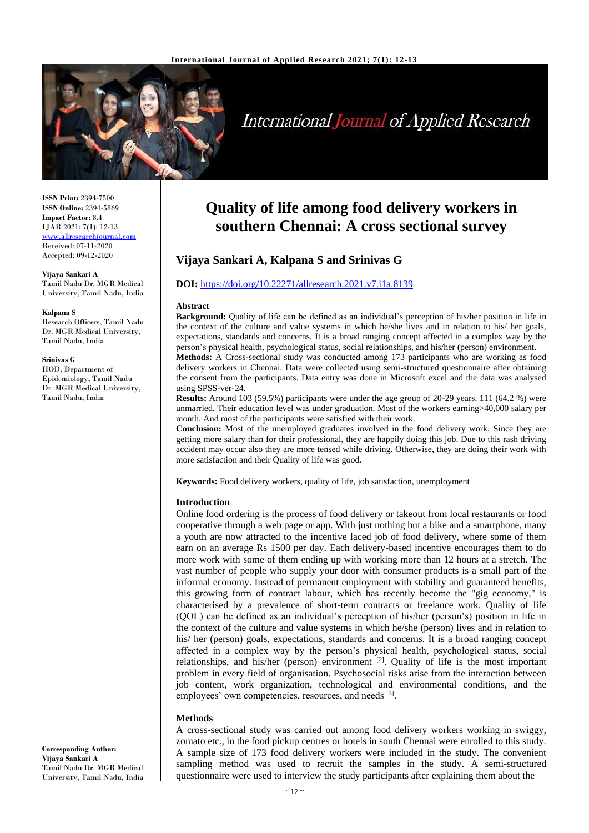

# International Journal of Applied Research

**ISSN Print:** 2394-7500 **ISSN Online:** 2394-5869 **Impact Factor:** 8.4 IJAR 2021; 7(1): 12-13 <www.allresearchjournal.com> Received: 07-11-2020 Accepted: 09-12-2020

#### **Vijaya Sankari A** Tamil Nadu Dr. MGR Medical University, Tamil Nadu, India

#### **Kalpana S**

Research Officers, Tamil Nadu Dr. MGR Medical University, Tamil Nadu, India

#### **Srinivas G**

HOD, Department of Epidemiology, Tamil Nadu Dr. MGR Medical University, Tamil Nadu, India

# **Quality of life among food delivery workers in southern Chennai: A cross sectional survey**

# **Vijaya Sankari A, Kalpana S and Srinivas G**

# **DOI:** <https://doi.org/10.22271/allresearch.2021.v7.i1a.8139>

#### **Abstract**

**Background:** Quality of life can be defined as an individual's perception of his/her position in life in the context of the culture and value systems in which he/she lives and in relation to his/ her goals, expectations, standards and concerns. It is a broad ranging concept affected in a complex way by the person's physical health, psychological status, social relationships, and his/her (person) environment.

**Methods:** A Cross-sectional study was conducted among 173 participants who are working as food delivery workers in Chennai. Data were collected using semi-structured questionnaire after obtaining the consent from the participants. Data entry was done in Microsoft excel and the data was analysed using SPSS-ver-24.

**Results:** Around 103 (59.5%) participants were under the age group of 20-29 years. 111 (64.2 %) were unmarried. Their education level was under graduation. Most of the workers earning>40,000 salary per month. And most of the participants were satisfied with their work.

**Conclusion:** Most of the unemployed graduates involved in the food delivery work. Since they are getting more salary than for their professional, they are happily doing this job. Due to this rash driving accident may occur also they are more tensed while driving. Otherwise, they are doing their work with more satisfaction and their Quality of life was good.

**Keywords:** Food delivery workers, quality of life, job satisfaction, unemployment

# **Introduction**

Online food ordering is the process of food delivery or takeout from local restaurants or food cooperative through a web page or app. With just nothing but a bike and a smartphone, many a youth are now attracted to the incentive laced job of food delivery, where some of them earn on an average Rs 1500 per day. Each delivery-based incentive encourages them to do more work with some of them ending up with working more than 12 hours at a stretch. The vast number of people who supply your door with consumer products is a small part of the informal economy. Instead of permanent employment with stability and guaranteed benefits, this growing form of contract labour, which has recently become the "gig economy," is characterised by a prevalence of short-term contracts or freelance work. Quality of life (QOL) can be defined as an individual's perception of his/her (person's) position in life in the context of the culture and value systems in which he/she (person) lives and in relation to his/ her (person) goals, expectations, standards and concerns. It is a broad ranging concept affected in a complex way by the person's physical health, psychological status, social relationships, and his/her (person) environment  $[2]$ . Quality of life is the most important problem in every field of organisation. Psychosocial risks arise from the interaction between job content, work organization, technological and environmental conditions, and the employees' own competencies, resources, and needs [3].

# **Methods**

A cross-sectional study was carried out among food delivery workers working in swiggy, zomato etc., in the food pickup centres or hotels in south Chennai were enrolled to this study. A sample size of 173 food delivery workers were included in the study. The convenient sampling method was used to recruit the samples in the study. A semi-structured questionnaire were used to interview the study participants after explaining them about the

**Corresponding Author: Vijaya Sankari A** Tamil Nadu Dr. MGR Medical University, Tamil Nadu, India